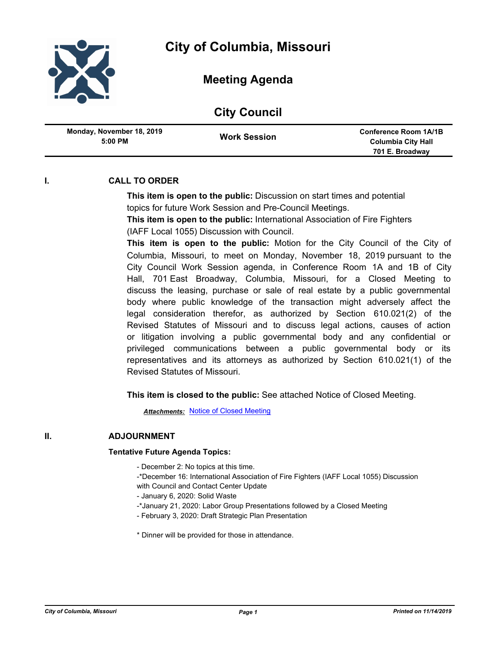

## **Meeting Agenda**

|  | <b>City Council</b> |
|--|---------------------|
|--|---------------------|

| Monday, November 18, 2019<br>$5:00$ PM | <b>Work Session</b> | <b>Conference Room 1A/1B</b><br><b>Columbia City Hall</b> |
|----------------------------------------|---------------------|-----------------------------------------------------------|
|                                        |                     | 701 E. Broadway                                           |

## **I. CALL TO ORDER**

**This item is open to the public:** Discussion on start times and potential topics for future Work Session and Pre-Council Meetings.

**This item is open to the public:** International Association of Fire Fighters (IAFF Local 1055) Discussion with Council.

**This item is open to the public:** Motion for the City Council of the City of Columbia, Missouri, to meet on Monday, November 18, 2019 pursuant to the City Council Work Session agenda, in Conference Room 1A and 1B of City Hall, 701 East Broadway, Columbia, Missouri, for a Closed Meeting to discuss the leasing, purchase or sale of real estate by a public governmental body where public knowledge of the transaction might adversely affect the legal consideration therefor, as authorized by Section 610.021(2) of the Revised Statutes of Missouri and to discuss legal actions, causes of action or litigation involving a public governmental body and any confidential or privileged communications between a public governmental body or its representatives and its attorneys as authorized by Section 610.021(1) of the Revised Statutes of Missouri.

**This item is closed to the public:** See attached Notice of Closed Meeting.

*Attachments:* [Notice of Closed Meeting](http://gocolumbiamo.legistar.com/gateway.aspx?M=F&ID=84afc50a-166b-4210-9c39-e201c217fa7b.pdf)

## **II. ADJOURNMENT**

## **Tentative Future Agenda Topics:**

- December 2: No topics at this time.
- -\*December 16: International Association of Fire Fighters (IAFF Local 1055) Discussion
- with Council and Contact Center Update
- January 6, 2020: Solid Waste
- -\*January 21, 2020: Labor Group Presentations followed by a Closed Meeting
- February 3, 2020: Draft Strategic Plan Presentation

\* Dinner will be provided for those in attendance.